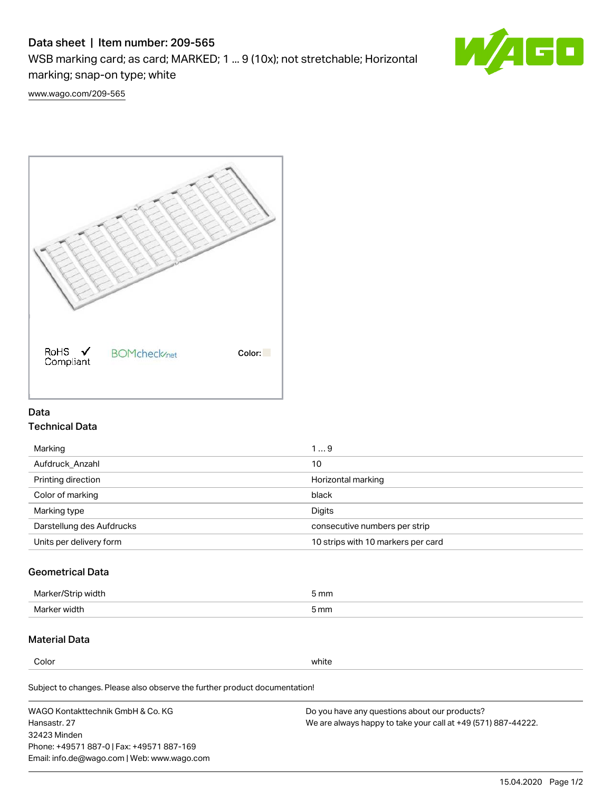# Data sheet | Item number: 209-565

WSB marking card; as card; MARKED; 1 ... 9 (10x); not stretchable; Horizontal marking; snap-on type; white



[www.wago.com/209-565](http://www.wago.com/209-565)



### Data Technical Data

| Marking                   | 19                                 |
|---------------------------|------------------------------------|
| Aufdruck Anzahl           | 10                                 |
| Printing direction        | Horizontal marking                 |
| Color of marking          | black                              |
| Marking type              | Digits                             |
| Darstellung des Aufdrucks | consecutive numbers per strip      |
| Units per delivery form   | 10 strips with 10 markers per card |

## Geometrical Data

| width        | i mm |
|--------------|------|
| Marker/      | -    |
| Marker width | 5 mm |

### Material Data

Color white

Subject to changes. Please also observe the further product documentation!

WAGO Kontakttechnik GmbH & Co. KG Hansastr. 27 32423 Minden Phone: +49571 887-0 | Fax: +49571 887-169 Email: info.de@wago.com | Web: www.wago.com Do you have any questions about our products? We are always happy to take your call at +49 (571) 887-44222.